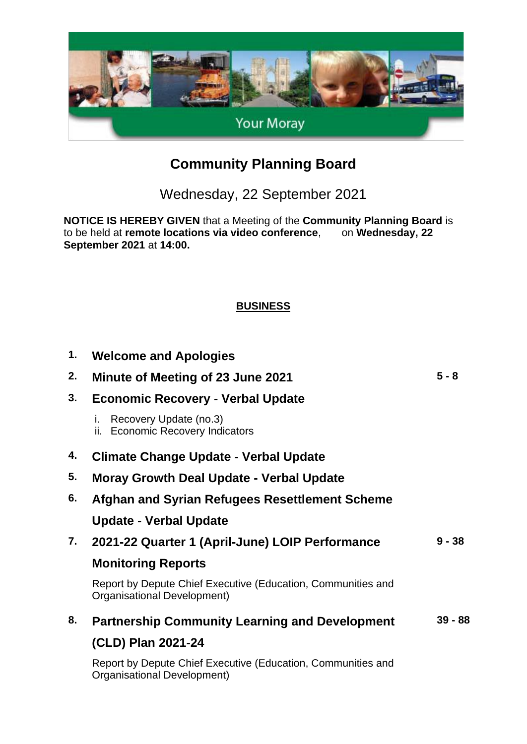

# **Community Planning Board**

Wednesday, 22 September 2021

**NOTICE IS HEREBY GIVEN** that a Meeting of the **Community Planning Board** is to be held at **remote locations via video conference**, on **Wednesday**, 22 to be held at **remote locations via video conference**, **September 2021** at **14:00.**

#### **BUSINESS**

| 1. | <b>Welcome and Apologies</b>                                                                |           |  |
|----|---------------------------------------------------------------------------------------------|-----------|--|
| 2. | <b>Minute of Meeting of 23 June 2021</b>                                                    | $5 - 8$   |  |
| 3. | <b>Economic Recovery - Verbal Update</b>                                                    |           |  |
|    | Recovery Update (no.3)<br>i.<br><b>Economic Recovery Indicators</b><br>ii.                  |           |  |
| 4. | <b>Climate Change Update - Verbal Update</b>                                                |           |  |
| 5. | <b>Moray Growth Deal Update - Verbal Update</b>                                             |           |  |
| 6. | Afghan and Syrian Refugees Resettlement Scheme                                              |           |  |
|    | <b>Update - Verbal Update</b>                                                               |           |  |
| 7. | 2021-22 Quarter 1 (April-June) LOIP Performance                                             | $9 - 38$  |  |
|    | <b>Monitoring Reports</b>                                                                   |           |  |
|    | Report by Depute Chief Executive (Education, Communities and<br>Organisational Development) |           |  |
| 8. | <b>Partnership Community Learning and Development</b>                                       | $39 - 88$ |  |
|    | (CLD) Plan 2021-24                                                                          |           |  |
|    | Report by Depute Chief Executive (Education, Communities and<br>Organisational Development) |           |  |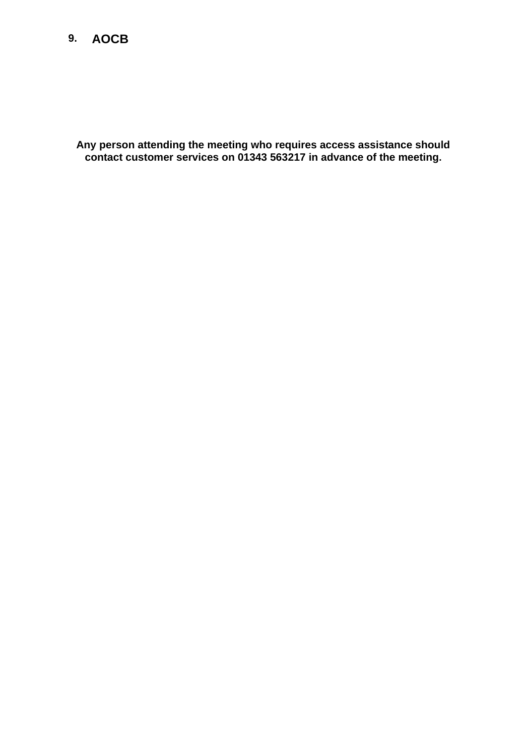### **9. AOCB**

**Any person attending the meeting who requires access assistance should contact customer services on 01343 563217 in advance of the meeting.**